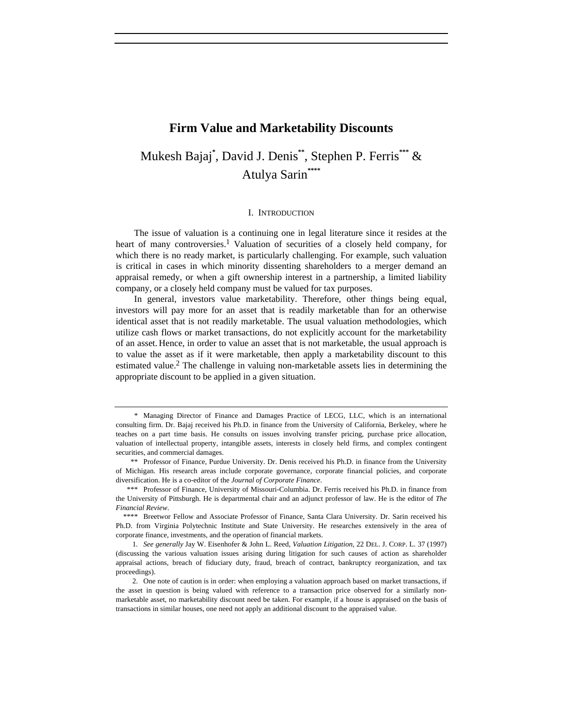## **Firm Value and Marketability Discounts**

# Mukesh Bajaj**\*** , David J. Denis**\*\***, Stephen P. Ferris**\*\*\*** & Atulya Sarin**\*\*\*\***

#### I. INTRODUCTION

The issue of valuation is a continuing one in legal literature since it resides at the heart of many controversies.<sup>1</sup> Valuation of securities of a closely held company, for which there is no ready market, is particularly challenging. For example, such valuation is critical in cases in which minority dissenting shareholders to a merger demand an appraisal remedy, or when a gift ownership interest in a partnership, a limited liability company, or a closely held company must be valued for tax purposes.

In general, investors value marketability. Therefore, other things being equal, investors will pay more for an asset that is readily marketable than for an otherwise identical asset that is not readily marketable. The usual valuation methodologies, which utilize cash flows or market transactions, do not explicitly account for the marketability of an asset. Hence, in order to value an asset that is not marketable, the usual approach is to value the asset as if it were marketable, then apply a marketability discount to this estimated value.<sup>2</sup> The challenge in valuing non-marketable assets lies in determining the appropriate discount to be applied in a given situation.

<sup>\*</sup> Managing Director of Finance and Damages Practice of LECG, LLC, which is an international consulting firm. Dr. Bajaj received his Ph.D. in finance from the University of California, Berkeley, where he teaches on a part time basis. He consults on issues involving transfer pricing, purchase price allocation, valuation of intellectual property, intangible assets, interests in closely held firms, and complex contingent securities, and commercial damages.

<sup>\*\*</sup> Professor of Finance, Purdue University. Dr. Denis received his Ph.D. in finance from the University of Michigan. His research areas include corporate governance, corporate financial policies, and corporate diversification. He is a co-editor of the *Journal of Corporate Finance*.

<sup>\*\*\*</sup> Professor of Finance, University of Missouri-Columbia. Dr. Ferris received his Ph.D. in finance from the University of Pittsburgh. He is departmental chair and an adjunct professor of law. He is the editor of *The Financial Review*.

<sup>\*\*\*\*</sup> Breetwor Fellow and Associate Professor of Finance, Santa Clara University. Dr. Sarin received his Ph.D. from Virginia Polytechnic Institute and State University. He researches extensively in the area of corporate finance, investments, and the operation of financial markets.

<sup>1</sup>*. See generally* Jay W. Eisenhofer & John L. Reed, *Valuation Litigation*, 22 DEL. J. CORP. L. 37 (1997) (discussing the various valuation issues arising during litigation for such causes of action as shareholder appraisal actions, breach of fiduciary duty, fraud, breach of contract, bankruptcy reorganization, and tax proceedings).

<sup>2.</sup> One note of caution is in order: when employing a valuation approach based on market transactions, if the asset in question is being valued with reference to a transaction price observed for a similarly nonmarketable asset, no marketability discount need be taken. For example, if a house is appraised on the basis of transactions in similar houses, one need not apply an additional discount to the appraised value.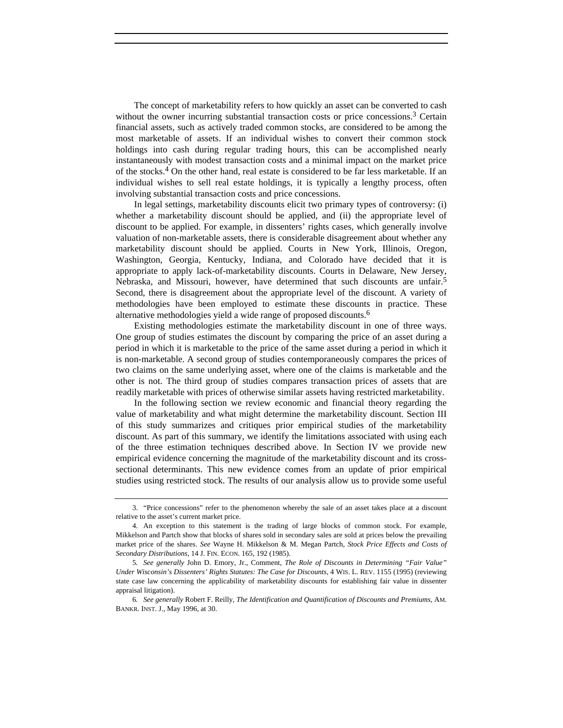The concept of marketability refers to how quickly an asset can be converted to cash without the owner incurring substantial transaction costs or price concessions.<sup>3</sup> Certain financial assets, such as actively traded common stocks, are considered to be among the most marketable of assets. If an individual wishes to convert their common stock holdings into cash during regular trading hours, this can be accomplished nearly instantaneously with modest transaction costs and a minimal impact on the market price of the stocks.4 On the other hand, real estate is considered to be far less marketable. If an individual wishes to sell real estate holdings, it is typically a lengthy process, often involving substantial transaction costs and price concessions.

In legal settings, marketability discounts elicit two primary types of controversy: (i) whether a marketability discount should be applied, and (ii) the appropriate level of discount to be applied. For example, in dissenters' rights cases, which generally involve valuation of non-marketable assets, there is considerable disagreement about whether any marketability discount should be applied. Courts in New York, Illinois, Oregon, Washington, Georgia, Kentucky, Indiana, and Colorado have decided that it is appropriate to apply lack-of-marketability discounts. Courts in Delaware, New Jersey, Nebraska, and Missouri, however, have determined that such discounts are unfair.<sup>5</sup> Second, there is disagreement about the appropriate level of the discount. A variety of methodologies have been employed to estimate these discounts in practice. These alternative methodologies yield a wide range of proposed discounts.6

Existing methodologies estimate the marketability discount in one of three ways. One group of studies estimates the discount by comparing the price of an asset during a period in which it is marketable to the price of the same asset during a period in which it is non-marketable. A second group of studies contemporaneously compares the prices of two claims on the same underlying asset, where one of the claims is marketable and the other is not. The third group of studies compares transaction prices of assets that are readily marketable with prices of otherwise similar assets having restricted marketability.

In the following section we review economic and financial theory regarding the value of marketability and what might determine the marketability discount. Section III of this study summarizes and critiques prior empirical studies of the marketability discount. As part of this summary, we identify the limitations associated with using each of the three estimation techniques described above. In Section IV we provide new empirical evidence concerning the magnitude of the marketability discount and its crosssectional determinants. This new evidence comes from an update of prior empirical studies using restricted stock. The results of our analysis allow us to provide some useful

<sup>3. &</sup>quot;Price concessions" refer to the phenomenon whereby the sale of an asset takes place at a discount relative to the asset's current market price.

<sup>4.</sup> An exception to this statement is the trading of large blocks of common stock. For example, Mikkelson and Partch show that blocks of shares sold in secondary sales are sold at prices below the prevailing market price of the shares. *See* Wayne H. Mikkelson & M. Megan Partch, *Stock Price Effects and Costs of Secondary Distributions*, 14 J. FIN. ECON. 165, 192 (1985).

<sup>5</sup>*. See generally* John D. Emory, Jr., Comment, *The Role of Discounts in Determining "Fair Value" Under Wisconsin's Dissenters' Rights Statutes: The Case for Discounts*, 4 WIS. L. REV. 1155 (1995) (reviewing state case law concerning the applicability of marketability discounts for establishing fair value in dissenter appraisal litigation).

<sup>6</sup>*. See generally* Robert F. Reilly, *The Identification and Quantification of Discounts and Premiums*, AM. BANKR. INST. J., May 1996, at 30.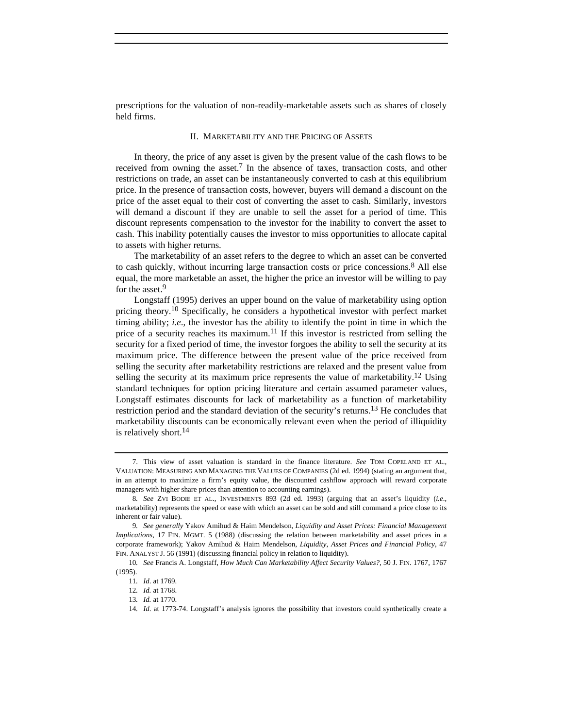prescriptions for the valuation of non-readily-marketable assets such as shares of closely held firms.

## II. MARKETABILITY AND THE PRICING OF ASSETS

In theory, the price of any asset is given by the present value of the cash flows to be received from owning the asset.7 In the absence of taxes, transaction costs, and other restrictions on trade, an asset can be instantaneously converted to cash at this equilibrium price. In the presence of transaction costs, however, buyers will demand a discount on the price of the asset equal to their cost of converting the asset to cash. Similarly, investors will demand a discount if they are unable to sell the asset for a period of time. This discount represents compensation to the investor for the inability to convert the asset to cash. This inability potentially causes the investor to miss opportunities to allocate capital to assets with higher returns.

The marketability of an asset refers to the degree to which an asset can be converted to cash quickly, without incurring large transaction costs or price concessions.<sup>8</sup> All else equal, the more marketable an asset, the higher the price an investor will be willing to pay for the asset.<sup>9</sup>

Longstaff (1995) derives an upper bound on the value of marketability using option pricing theory.<sup>10</sup> Specifically, he considers a hypothetical investor with perfect market timing ability; *i.e*., the investor has the ability to identify the point in time in which the price of a security reaches its maximum.<sup>11</sup> If this investor is restricted from selling the security for a fixed period of time, the investor forgoes the ability to sell the security at its maximum price. The difference between the present value of the price received from selling the security after marketability restrictions are relaxed and the present value from selling the security at its maximum price represents the value of marketability.<sup>12</sup> Using standard techniques for option pricing literature and certain assumed parameter values, Longstaff estimates discounts for lack of marketability as a function of marketability restriction period and the standard deviation of the security's returns.13 He concludes that marketability discounts can be economically relevant even when the period of illiquidity is relatively short.<sup>14</sup>

<sup>7.</sup> This view of asset valuation is standard in the finance literature. *See* TOM COPELAND ET AL., VALUATION: MEASURING AND MANAGING THE VALUES OF COMPANIES (2d ed. 1994) (stating an argument that, in an attempt to maximize a firm's equity value, the discounted cashflow approach will reward corporate managers with higher share prices than attention to accounting earnings).

<sup>8</sup>*. See* ZVI BODIE ET AL., INVESTMENTS 893 (2d ed. 1993) (arguing that an asset's liquidity (*i.e*., marketability) represents the speed or ease with which an asset can be sold and still command a price close to its inherent or fair value).

<sup>9</sup>*. See generally* Yakov Amihud & Haim Mendelson, *Liquidity and Asset Prices: Financial Management Implications*, 17 FIN. MGMT. 5 (1988) (discussing the relation between marketability and asset prices in a corporate framework); Yakov Amihud & Haim Mendelson, *Liquidity, Asset Prices and Financial Policy*, 47 FIN. ANALYST J. 56 (1991) (discussing financial policy in relation to liquidity).

<sup>10</sup>*. See* Francis A. Longstaff, *How Much Can Marketability Affect Security Values?*, 50 J. FIN. 1767, 1767 (1995).

<sup>11</sup>*. Id*. at 1769.

<sup>12</sup>*. Id.* at 1768.

<sup>13</sup>*. Id.* at 1770.

<sup>14</sup>*. Id*. at 1773-74. Longstaff's analysis ignores the possibility that investors could synthetically create a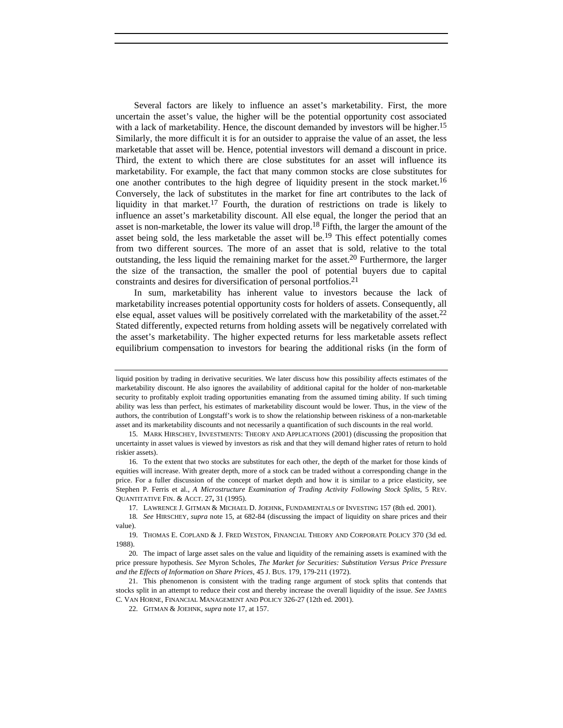Several factors are likely to influence an asset's marketability. First, the more uncertain the asset's value, the higher will be the potential opportunity cost associated with a lack of marketability. Hence, the discount demanded by investors will be higher.<sup>15</sup> Similarly, the more difficult it is for an outsider to appraise the value of an asset, the less marketable that asset will be. Hence, potential investors will demand a discount in price. Third, the extent to which there are close substitutes for an asset will influence its marketability. For example, the fact that many common stocks are close substitutes for one another contributes to the high degree of liquidity present in the stock market.<sup>16</sup> Conversely, the lack of substitutes in the market for fine art contributes to the lack of liquidity in that market.<sup>17</sup> Fourth, the duration of restrictions on trade is likely to influence an asset's marketability discount. All else equal, the longer the period that an asset is non-marketable, the lower its value will drop.<sup>18</sup> Fifth, the larger the amount of the asset being sold, the less marketable the asset will be.<sup>19</sup> This effect potentially comes from two different sources. The more of an asset that is sold, relative to the total outstanding, the less liquid the remaining market for the asset.<sup>20</sup> Furthermore, the larger the size of the transaction, the smaller the pool of potential buyers due to capital constraints and desires for diversification of personal portfolios.21

In sum, marketability has inherent value to investors because the lack of marketability increases potential opportunity costs for holders of assets. Consequently, all else equal, asset values will be positively correlated with the marketability of the asset.<sup>22</sup> Stated differently, expected returns from holding assets will be negatively correlated with the asset's marketability. The higher expected returns for less marketable assets reflect equilibrium compensation to investors for bearing the additional risks (in the form of

17. LAWRENCE J. GITMAN & MICHAEL D. JOEHNK, FUNDAMENTALS OF INVESTING 157 (8th ed. 2001).

liquid position by trading in derivative securities. We later discuss how this possibility affects estimates of the marketability discount. He also ignores the availability of additional capital for the holder of non-marketable security to profitably exploit trading opportunities emanating from the assumed timing ability. If such timing ability was less than perfect, his estimates of marketability discount would be lower. Thus, in the view of the authors, the contribution of Longstaff's work is to show the relationship between riskiness of a non-marketable asset and its marketability discounts and not necessarily a quantification of such discounts in the real world.

<sup>15.</sup> MARK HIRSCHEY, INVESTMENTS: THEORY AND APPLICATIONS (2001) (discussing the proposition that uncertainty in asset values is viewed by investors as risk and that they will demand higher rates of return to hold riskier assets).

<sup>16.</sup> To the extent that two stocks are substitutes for each other, the depth of the market for those kinds of equities will increase. With greater depth, more of a stock can be traded without a corresponding change in the price. For a fuller discussion of the concept of market depth and how it is similar to a price elasticity, see Stephen P. Ferris et al., *A Microstructure Examination of Trading Activity Following Stock Splits*, 5 REV. QUANTITATIVE FIN. & ACCT. 27**,** 31 (1995).

<sup>18</sup>*. See* HIRSCHEY, *supra* note 15, at 682-84 (discussing the impact of liquidity on share prices and their value)

<sup>19.</sup> THOMAS E. COPLAND & J. FRED WESTON, FINANCIAL THEORY AND CORPORATE POLICY 370 (3d ed. 1988).

<sup>20.</sup> The impact of large asset sales on the value and liquidity of the remaining assets is examined with the price pressure hypothesis. *See* Myron Scholes, *The Market for Securities: Substitution Versus Price Pressure and the Effects of Information on Share Prices*, 45 J. BUS. 179, 179-211 (1972).

<sup>21.</sup> This phenomenon is consistent with the trading range argument of stock splits that contends that stocks split in an attempt to reduce their cost and thereby increase the overall liquidity of the issue. *See* JAMES C. VAN HORNE, FINANCIAL MANAGEMENT AND POLICY 326-27 (12th ed. 2001).

<sup>22.</sup> GITMAN & JOEHNK, *supra* note 17, at 157.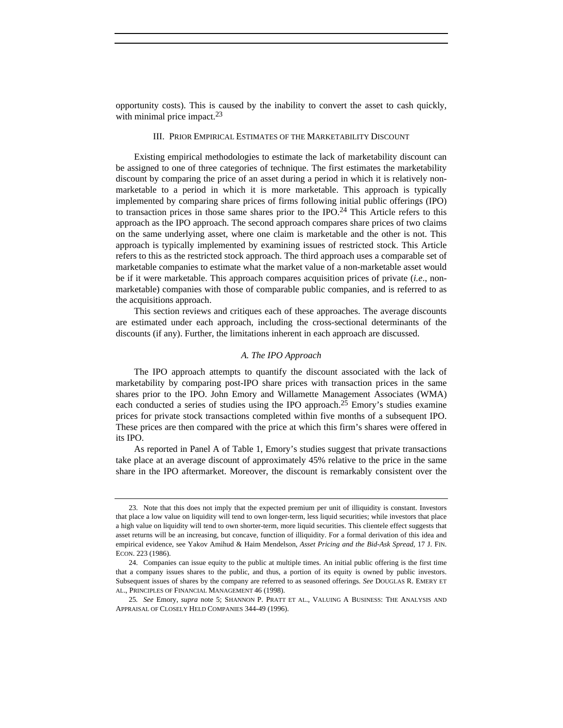opportunity costs). This is caused by the inability to convert the asset to cash quickly, with minimal price impact.<sup>23</sup>

## III. PRIOR EMPIRICAL ESTIMATES OF THE MARKETABILITY DISCOUNT

Existing empirical methodologies to estimate the lack of marketability discount can be assigned to one of three categories of technique. The first estimates the marketability discount by comparing the price of an asset during a period in which it is relatively nonmarketable to a period in which it is more marketable. This approach is typically implemented by comparing share prices of firms following initial public offerings (IPO) to transaction prices in those same shares prior to the IPO.<sup>24</sup> This Article refers to this approach as the IPO approach. The second approach compares share prices of two claims on the same underlying asset, where one claim is marketable and the other is not. This approach is typically implemented by examining issues of restricted stock. This Article refers to this as the restricted stock approach. The third approach uses a comparable set of marketable companies to estimate what the market value of a non-marketable asset would be if it were marketable. This approach compares acquisition prices of private (*i.e*., nonmarketable) companies with those of comparable public companies, and is referred to as the acquisitions approach.

This section reviews and critiques each of these approaches. The average discounts are estimated under each approach, including the cross-sectional determinants of the discounts (if any). Further, the limitations inherent in each approach are discussed.

#### *A. The IPO Approach*

The IPO approach attempts to quantify the discount associated with the lack of marketability by comparing post-IPO share prices with transaction prices in the same shares prior to the IPO. John Emory and Willamette Management Associates (WMA) each conducted a series of studies using the IPO approach.<sup>25</sup> Emory's studies examine prices for private stock transactions completed within five months of a subsequent IPO. These prices are then compared with the price at which this firm's shares were offered in its IPO.

As reported in Panel A of Table 1, Emory's studies suggest that private transactions take place at an average discount of approximately 45% relative to the price in the same share in the IPO aftermarket. Moreover, the discount is remarkably consistent over the

<sup>23.</sup> Note that this does not imply that the expected premium per unit of illiquidity is constant. Investors that place a low value on liquidity will tend to own longer-term, less liquid securities; while investors that place a high value on liquidity will tend to own shorter-term, more liquid securities. This clientele effect suggests that asset returns will be an increasing, but concave, function of illiquidity. For a formal derivation of this idea and empirical evidence, see Yakov Amihud & Haim Mendelson, *Asset Pricing and the Bid-Ask Spread*, 17 J. FIN. ECON. 223 (1986).

<sup>24.</sup> Companies can issue equity to the public at multiple times. An initial public offering is the first time that a company issues shares to the public, and thus, a portion of its equity is owned by public investors. Subsequent issues of shares by the company are referred to as seasoned offerings. *See* DOUGLAS R. EMERY ET AL., PRINCIPLES OF FINANCIAL MANAGEMENT 46 (1998).

<sup>25</sup>*. See* Emory, *supra* note 5; SHANNON P. PRATT ET AL., VALUING A BUSINESS: THE ANALYSIS AND APPRAISAL OF CLOSELY HELD COMPANIES 344-49 (1996).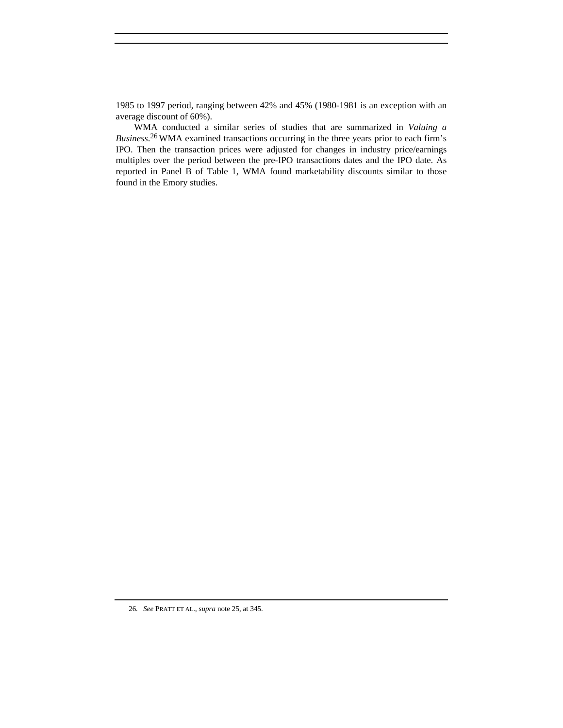1985 to 1997 period, ranging between 42% and 45% (1980-1981 is an exception with an average discount of 60%).

WMA conducted a similar series of studies that are summarized in *Valuing a Business*. 26WMA examined transactions occurring in the three years prior to each firm's IPO. Then the transaction prices were adjusted for changes in industry price/earnings multiples over the period between the pre-IPO transactions dates and the IPO date. As reported in Panel B of Table 1, WMA found marketability discounts similar to those found in the Emory studies.

<sup>26</sup>*. See* PRATT ET AL., *supra* note 25, at 345.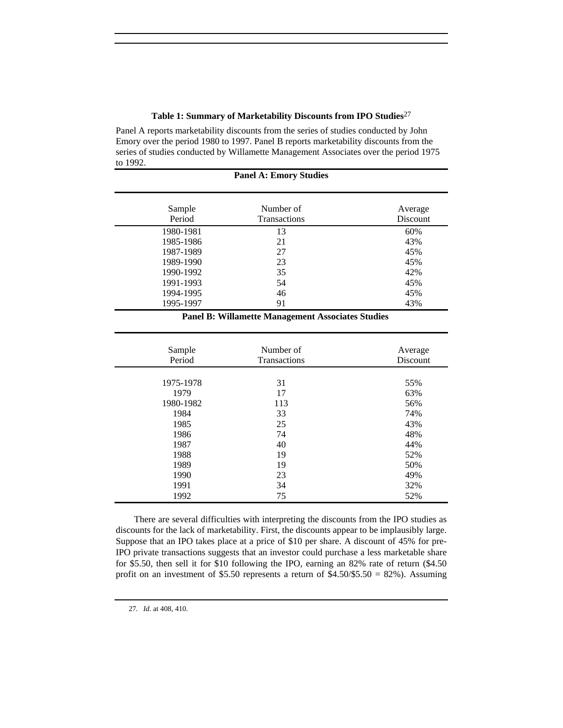## **Table 1: Summary of Marketability Discounts from IPO Studies**<sup>27</sup>

Panel A reports marketability discounts from the series of studies conducted by John Emory over the period 1980 to 1997. Panel B reports marketability discounts from the series of studies conducted by Willamette Management Associates over the period 1975 to 1992.

| <b>Panel A: Emory Studies</b> |                                  |                     |  |  |
|-------------------------------|----------------------------------|---------------------|--|--|
| Sample<br>Period              | Number of<br><b>Transactions</b> | Average<br>Discount |  |  |
| 1980-1981                     | 13                               | 60%                 |  |  |
| 1985-1986                     | 21                               | 43%                 |  |  |
| 1987-1989                     | 27                               | 45%                 |  |  |
| 1989-1990                     | 23                               | 45%                 |  |  |
| 1990-1992                     | 35                               | 42%                 |  |  |
| 1991-1993                     | 54                               | 45%                 |  |  |
| 1994-1995                     | 46                               | 45%                 |  |  |
| 1995-1997                     | 91                               | 43%                 |  |  |

## **Panel B: Willamette Management Associates Studies**

| Sample<br>Period | Number of<br><b>Transactions</b> | Average<br>Discount |
|------------------|----------------------------------|---------------------|
|                  |                                  |                     |
| 1975-1978        | 31                               | 55%                 |
| 1979             | 17                               | 63%                 |
| 1980-1982        | 113                              | 56%                 |
| 1984             | 33                               | 74%                 |
| 1985             | 25                               | 43%                 |
| 1986             | 74                               | 48%                 |
| 1987             | 40                               | 44%                 |
| 1988             | 19                               | 52%                 |
| 1989             | 19                               | 50%                 |
| 1990             | 23                               | 49%                 |
| 1991             | 34                               | 32%                 |
| 1992             | 75                               | 52%                 |

There are several difficulties with interpreting the discounts from the IPO studies as discounts for the lack of marketability. First, the discounts appear to be implausibly large. Suppose that an IPO takes place at a price of \$10 per share. A discount of 45% for pre-IPO private transactions suggests that an investor could purchase a less marketable share for \$5.50, then sell it for \$10 following the IPO, earning an 82% rate of return (\$4.50 profit on an investment of \$5.50 represents a return of  $$4.50/\$5.50 = 82\%$ ). Assuming

27*. Id*. at 408, 410.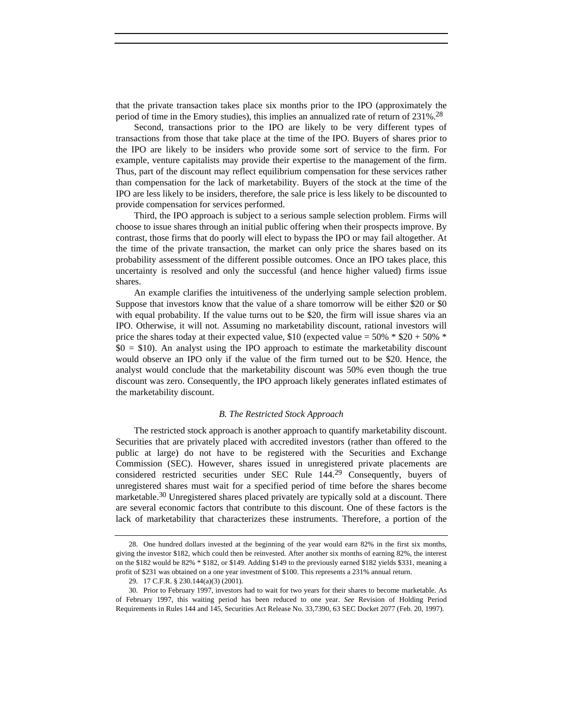that the private transaction takes place six months prior to the IPO (approximately the period of time in the Emory studies), this implies an annualized rate of return of 231%.28

Second, transactions prior to the IPO are likely to be very different types of transactions from those that take place at the time of the IPO. Buyers of shares prior to the IPO are likely to be insiders who provide some sort of service to the firm. For example, venture capitalists may provide their expertise to the management of the firm. Thus, part of the discount may reflect equilibrium compensation for these services rather than compensation for the lack of marketability. Buyers of the stock at the time of the IPO are less likely to be insiders, therefore, the sale price is less likely to be discounted to provide compensation for services performed.

Third, the IPO approach is subject to a serious sample selection problem. Firms will choose to issue shares through an initial public offering when their prospects improve. By contrast, those firms that do poorly will elect to bypass the IPO or may fail altogether. At the time of the private transaction, the market can only price the shares based on its probability assessment of the different possible outcomes. Once an IPO takes place, this uncertainty is resolved and only the successful (and hence higher valued) firms issue shares.

An example clarifies the intuitiveness of the underlying sample selection problem. Suppose that investors know that the value of a share tomorrow will be either \$20 or \$0 with equal probability. If the value turns out to be \$20, the firm will issue shares via an IPO. Otherwise, it will not. Assuming no marketability discount, rational investors will price the shares today at their expected value, \$10 (expected value =  $50\%$  \* \$20 +  $50\%$  \* \$0 = \$10). An analyst using the IPO approach to estimate the marketability discount would observe an IPO only if the value of the firm turned out to be \$20. Hence, the analyst would conclude that the marketability discount was 50% even though the true discount was zero. Consequently, the IPO approach likely generates inflated estimates of the marketability discount.

#### *B. The Restricted Stock Approach*

The restricted stock approach is another approach to quantify marketability discount. Securities that are privately placed with accredited investors (rather than offered to the public at large) do not have to be registered with the Securities and Exchange Commission (SEC). However, shares issued in unregistered private placements are considered restricted securities under SEC Rule 144.29 Consequently, buyers of unregistered shares must wait for a specified period of time before the shares become marketable.30 Unregistered shares placed privately are typically sold at a discount. There are several economic factors that contribute to this discount. One of these factors is the lack of marketability that characterizes these instruments. Therefore, a portion of the

<sup>28.</sup> One hundred dollars invested at the beginning of the year would earn 82% in the first six months, giving the investor \$182, which could then be reinvested. After another six months of earning 82%, the interest on the \$182 would be 82% \* \$182, or \$149. Adding \$149 to the previously earned \$182 yields \$331, meaning a profit of \$231 was obtained on a one year investment of \$100. This represents a 231% annual return.

<sup>29. 17</sup> C.F.R. § 230.144(a)(3) (2001).

<sup>30.</sup> Prior to February 1997, investors had to wait for two years for their shares to become marketable. As of February 1997, this waiting period has been reduced to one year. *See* Revision of Holding Period Requirements in Rules 144 and 145, Securities Act Release No. 33,7390, 63 SEC Docket 2077 (Feb. 20, 1997).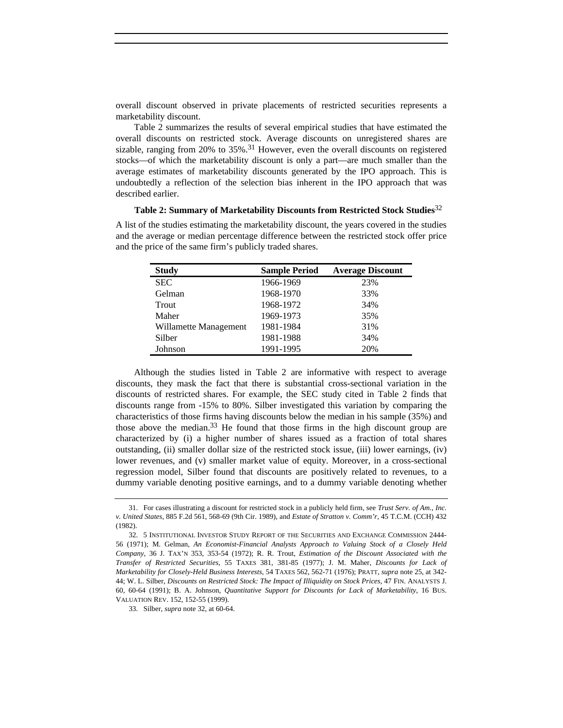overall discount observed in private placements of restricted securities represents a marketability discount.

Table 2 summarizes the results of several empirical studies that have estimated the overall discounts on restricted stock. Average discounts on unregistered shares are sizable, ranging from 20% to  $35\%$ .<sup>31</sup> However, even the overall discounts on registered stocks—of which the marketability discount is only a part—are much smaller than the average estimates of marketability discounts generated by the IPO approach. This is undoubtedly a reflection of the selection bias inherent in the IPO approach that was described earlier.

### **Table 2: Summary of Marketability Discounts from Restricted Stock Studies**<sup>32</sup>

A list of the studies estimating the marketability discount, the years covered in the studies and the average or median percentage difference between the restricted stock offer price and the price of the same firm's publicly traded shares.

| <b>Study</b>          | <b>Sample Period</b> | <b>Average Discount</b> |
|-----------------------|----------------------|-------------------------|
| <b>SEC</b>            | 1966-1969            | 23%                     |
| Gelman                | 1968-1970            | 33%                     |
| Trout                 | 1968-1972            | 34%                     |
| Maher                 | 1969-1973            | 35%                     |
| Willamette Management | 1981-1984            | 31%                     |
| Silber                | 1981-1988            | 34%                     |
| Johnson               | 1991-1995            | 20%                     |

Although the studies listed in Table 2 are informative with respect to average discounts, they mask the fact that there is substantial cross-sectional variation in the discounts of restricted shares. For example, the SEC study cited in Table 2 finds that discounts range from -15% to 80%. Silber investigated this variation by comparing the characteristics of those firms having discounts below the median in his sample (35%) and those above the median.<sup>33</sup> He found that those firms in the high discount group are characterized by (i) a higher number of shares issued as a fraction of total shares outstanding, (ii) smaller dollar size of the restricted stock issue, (iii) lower earnings, (iv) lower revenues, and (v) smaller market value of equity. Moreover, in a cross-sectional regression model, Silber found that discounts are positively related to revenues, to a dummy variable denoting positive earnings, and to a dummy variable denoting whether

<sup>31.</sup> For cases illustrating a discount for restricted stock in a publicly held firm, see *Trust Serv. of Am., Inc. v. United States*, 885 F.2d 561, 568-69 (9th Cir. 1989), and *Estate of Stratton v. Comm'r*, 45 T.C.M. (CCH) 432 (1982).

<sup>32. 5</sup> INSTITUTIONAL INVESTOR STUDY REPORT OF THE SECURITIES AND EXCHANGE COMMISSION 2444- 56 (1971); M. Gelman, *An Economist-Financial Analysts Approach to Valuing Stock of a Closely Held Company*, 36 J. TAX'N 353, 353-54 (1972); R. R. Trout, *Estimation of the Discount Associated with the Transfer of Restricted Securities*, 55 TAXES 381, 381-85 (1977); J. M. Maher, *Discounts for Lack of Marketability for Closely-Held Business Interests*, 54 TAXES 562, 562-71 (1976); PRATT, *supra* note 25, at 342- 44; W. L. Silber, *Discounts on Restricted Stock: The Impact of Illiquidity on Stock Prices*, 47 FIN. ANALYSTS J. 60, 60-64 (1991); B. A. Johnson, *Quantitative Support for Discounts for Lack of Marketability*, 16 BUS. VALUATION REV. 152, 152-55 (1999).

<sup>33.</sup> Silber, *supra* note 32, at 60-64.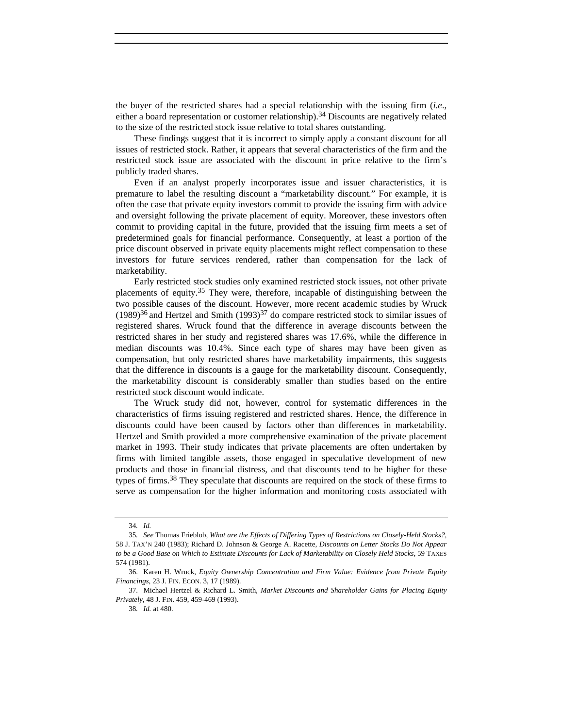the buyer of the restricted shares had a special relationship with the issuing firm (*i.e*., either a board representation or customer relationship).34 Discounts are negatively related to the size of the restricted stock issue relative to total shares outstanding.

These findings suggest that it is incorrect to simply apply a constant discount for all issues of restricted stock. Rather, it appears that several characteristics of the firm and the restricted stock issue are associated with the discount in price relative to the firm's publicly traded shares.

Even if an analyst properly incorporates issue and issuer characteristics, it is premature to label the resulting discount a "marketability discount." For example, it is often the case that private equity investors commit to provide the issuing firm with advice and oversight following the private placement of equity. Moreover, these investors often commit to providing capital in the future, provided that the issuing firm meets a set of predetermined goals for financial performance. Consequently, at least a portion of the price discount observed in private equity placements might reflect compensation to these investors for future services rendered, rather than compensation for the lack of marketability.

Early restricted stock studies only examined restricted stock issues, not other private placements of equity.35 They were, therefore, incapable of distinguishing between the two possible causes of the discount. However, more recent academic studies by Wruck  $(1989)^{36}$  and Hertzel and Smith  $(1993)^{37}$  do compare restricted stock to similar issues of registered shares. Wruck found that the difference in average discounts between the restricted shares in her study and registered shares was 17.6%, while the difference in median discounts was 10.4%. Since each type of shares may have been given as compensation, but only restricted shares have marketability impairments, this suggests that the difference in discounts is a gauge for the marketability discount. Consequently, the marketability discount is considerably smaller than studies based on the entire restricted stock discount would indicate.

The Wruck study did not, however, control for systematic differences in the characteristics of firms issuing registered and restricted shares. Hence, the difference in discounts could have been caused by factors other than differences in marketability. Hertzel and Smith provided a more comprehensive examination of the private placement market in 1993. Their study indicates that private placements are often undertaken by firms with limited tangible assets, those engaged in speculative development of new products and those in financial distress, and that discounts tend to be higher for these types of firms.38 They speculate that discounts are required on the stock of these firms to serve as compensation for the higher information and monitoring costs associated with

<sup>34</sup>*. Id.*

<sup>35</sup>*. See* Thomas Frieblob, *What are the Effects of Differing Types of Restrictions on Closely-Held Stocks?*, 58 J. TAX'N 240 (1983); Richard D. Johnson & George A. Racette, *Discounts on Letter Stocks Do Not Appear to be a Good Base on Which to Estimate Discounts for Lack of Marketability on Closely Held Stocks*, 59 TAXES 574 (1981).

<sup>36.</sup> Karen H. Wruck, *Equity Ownership Concentration and Firm Value: Evidence from Private Equity Financings*, 23 J. FIN. ECON. 3, 17 (1989).

<sup>37.</sup> Michael Hertzel & Richard L. Smith, *Market Discounts and Shareholder Gains for Placing Equity Privately*, 48 J. FIN. 459, 459-469 (1993).

<sup>38</sup>*. Id.* at 480.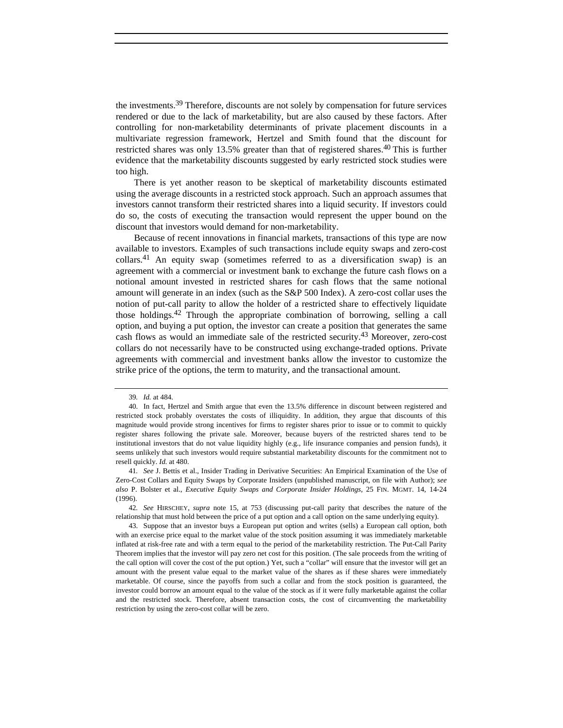the investments.39 Therefore, discounts are not solely by compensation for future services rendered or due to the lack of marketability, but are also caused by these factors. After controlling for non-marketability determinants of private placement discounts in a multivariate regression framework, Hertzel and Smith found that the discount for restricted shares was only 13.5% greater than that of registered shares.40 This is further evidence that the marketability discounts suggested by early restricted stock studies were too high.

There is yet another reason to be skeptical of marketability discounts estimated using the average discounts in a restricted stock approach. Such an approach assumes that investors cannot transform their restricted shares into a liquid security. If investors could do so, the costs of executing the transaction would represent the upper bound on the discount that investors would demand for non-marketability.

Because of recent innovations in financial markets, transactions of this type are now available to investors. Examples of such transactions include equity swaps and zero-cost collars.<sup>41</sup> An equity swap (sometimes referred to as a diversification swap) is an agreement with a commercial or investment bank to exchange the future cash flows on a notional amount invested in restricted shares for cash flows that the same notional amount will generate in an index (such as the S&P 500 Index). A zero-cost collar uses the notion of put-call parity to allow the holder of a restricted share to effectively liquidate those holdings.42 Through the appropriate combination of borrowing, selling a call option, and buying a put option, the investor can create a position that generates the same cash flows as would an immediate sale of the restricted security.43 Moreover, zero-cost collars do not necessarily have to be constructed using exchange-traded options. Private agreements with commercial and investment banks allow the investor to customize the strike price of the options, the term to maturity, and the transactional amount.

42*. See* HIRSCHEY, *supra* note 15, at 753 (discussing put-call parity that describes the nature of the relationship that must hold between the price of a put option and a call option on the same underlying equity).

<sup>39</sup>*. Id.* at 484.

<sup>40.</sup> In fact, Hertzel and Smith argue that even the 13.5% difference in discount between registered and restricted stock probably overstates the costs of illiquidity. In addition, they argue that discounts of this magnitude would provide strong incentives for firms to register shares prior to issue or to commit to quickly register shares following the private sale. Moreover, because buyers of the restricted shares tend to be institutional investors that do not value liquidity highly (e.g., life insurance companies and pension funds), it seems unlikely that such investors would require substantial marketability discounts for the commitment not to resell quickly. *Id.* at 480.

<sup>41</sup>*. See* J. Bettis et al., Insider Trading in Derivative Securities: An Empirical Examination of the Use of Zero-Cost Collars and Equity Swaps by Corporate Insiders (unpublished manuscript, on file with Author); *see also* P. Bolster et al., *Executive Equity Swaps and Corporate Insider Holdings*, 25 FIN. MGMT. 14, 14-24 (1996).

<sup>43.</sup> Suppose that an investor buys a European put option and writes (sells) a European call option, both with an exercise price equal to the market value of the stock position assuming it was immediately marketable inflated at risk-free rate and with a term equal to the period of the marketability restriction. The Put-Call Parity Theorem implies that the investor will pay zero net cost for this position. (The sale proceeds from the writing of the call option will cover the cost of the put option.) Yet, such a "collar" will ensure that the investor will get an amount with the present value equal to the market value of the shares as if these shares were immediately marketable. Of course, since the payoffs from such a collar and from the stock position is guaranteed, the investor could borrow an amount equal to the value of the stock as if it were fully marketable against the collar and the restricted stock. Therefore, absent transaction costs, the cost of circumventing the marketability restriction by using the zero-cost collar will be zero.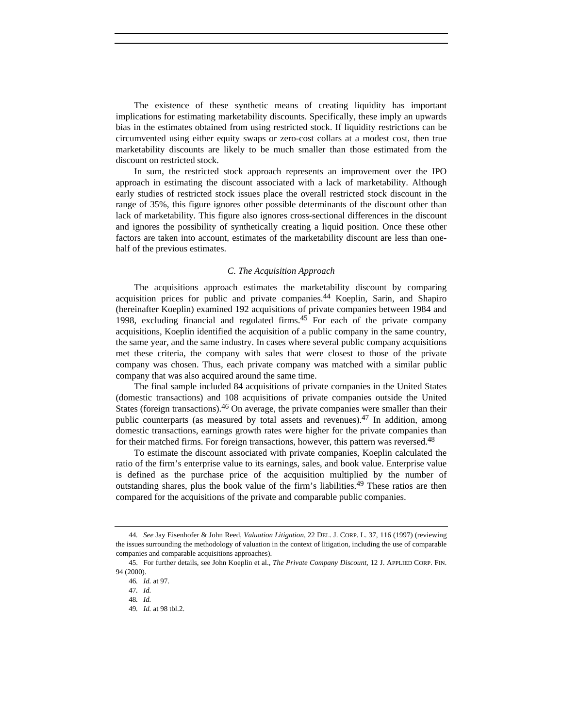The existence of these synthetic means of creating liquidity has important implications for estimating marketability discounts. Specifically, these imply an upwards bias in the estimates obtained from using restricted stock. If liquidity restrictions can be circumvented using either equity swaps or zero-cost collars at a modest cost, then true marketability discounts are likely to be much smaller than those estimated from the discount on restricted stock.

In sum, the restricted stock approach represents an improvement over the IPO approach in estimating the discount associated with a lack of marketability. Although early studies of restricted stock issues place the overall restricted stock discount in the range of 35%, this figure ignores other possible determinants of the discount other than lack of marketability. This figure also ignores cross-sectional differences in the discount and ignores the possibility of synthetically creating a liquid position. Once these other factors are taken into account, estimates of the marketability discount are less than onehalf of the previous estimates.

#### *C. The Acquisition Approach*

The acquisitions approach estimates the marketability discount by comparing acquisition prices for public and private companies.<sup>44</sup> Koeplin, Sarin, and Shapiro (hereinafter Koeplin) examined 192 acquisitions of private companies between 1984 and 1998, excluding financial and regulated firms.<sup>45</sup> For each of the private company acquisitions, Koeplin identified the acquisition of a public company in the same country, the same year, and the same industry. In cases where several public company acquisitions met these criteria, the company with sales that were closest to those of the private company was chosen. Thus, each private company was matched with a similar public company that was also acquired around the same time.

The final sample included 84 acquisitions of private companies in the United States (domestic transactions) and 108 acquisitions of private companies outside the United States (foreign transactions).<sup>46</sup> On average, the private companies were smaller than their public counterparts (as measured by total assets and revenues).<sup>47</sup> In addition, among domestic transactions, earnings growth rates were higher for the private companies than for their matched firms. For foreign transactions, however, this pattern was reversed.<sup>48</sup>

To estimate the discount associated with private companies, Koeplin calculated the ratio of the firm's enterprise value to its earnings, sales, and book value. Enterprise value is defined as the purchase price of the acquisition multiplied by the number of outstanding shares, plus the book value of the firm's liabilities.49 These ratios are then compared for the acquisitions of the private and comparable public companies.

<sup>44</sup>*. See* Jay Eisenhofer & John Reed, *Valuation Litigation*, 22 DEL. J. CORP. L. 37, 116 (1997) (reviewing the issues surrounding the methodology of valuation in the context of litigation, including the use of comparable companies and comparable acquisitions approaches).

<sup>45.</sup> For further details, see John Koeplin et al., *The Private Company Discount*, 12 J. APPLIED CORP. FIN. 94 (2000).

<sup>46</sup>*. Id.* at 97.

<sup>47</sup>*. Id.*

<sup>48</sup>*. Id.*

<sup>49</sup>*. Id.* at 98 tbl.2.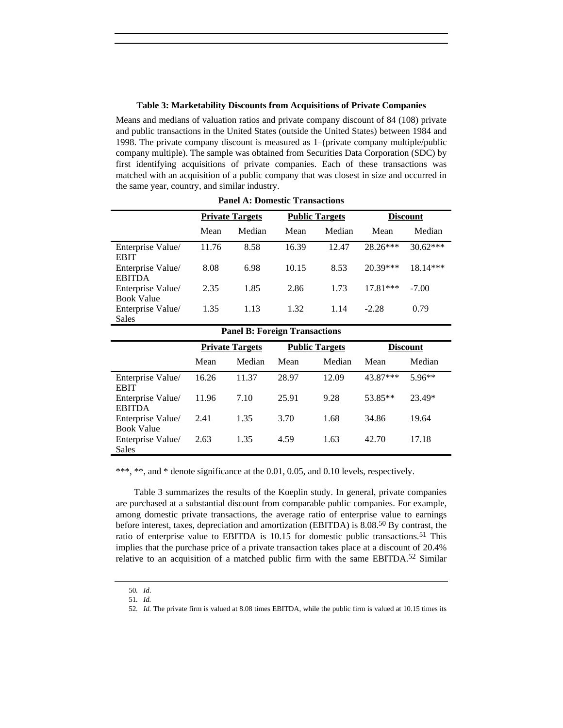#### **Table 3: Marketability Discounts from Acquisitions of Private Companies**

Means and medians of valuation ratios and private company discount of 84 (108) private and public transactions in the United States (outside the United States) between 1984 and 1998. The private company discount is measured as 1–(private company multiple/public company multiple). The sample was obtained from Securities Data Corporation (SDC) by first identifying acquisitions of private companies. Each of these transactions was matched with an acquisition of a public company that was closest in size and occurred in the same year, country, and similar industry.

|                                        | <b>Private Targets</b> |        | <b>Public Targets</b> |        | <b>Discount</b> |            |
|----------------------------------------|------------------------|--------|-----------------------|--------|-----------------|------------|
|                                        | Mean                   | Median | Mean                  | Median | Mean            | Median     |
| Enterprise Value/<br><b>EBIT</b>       | 11.76                  | 8.58   | 16.39                 | 12.47  | $28.26***$      | $30.62***$ |
| Enterprise Value/<br><b>EBITDA</b>     | 8.08                   | 6.98   | 10.15                 | 8.53   | $20.39***$      | $18.14***$ |
| Enterprise Value/<br><b>Book Value</b> | 2.35                   | 1.85   | 2.86                  | 1.73   | $17.81***$      | $-7.00$    |
| Enterprise Value/<br>Sales             | 1.35                   | 1.13   | 1.32                  | 1.14   | $-2.28$         | 0.79       |

**Panel A: Domestic Transactions**

|                                        |       | <b>Panel B: Foreign Transactions</b> |                       |        |                 |          |
|----------------------------------------|-------|--------------------------------------|-----------------------|--------|-----------------|----------|
|                                        |       | <b>Private Targets</b>               | <b>Public Targets</b> |        | <b>Discount</b> |          |
|                                        | Mean  | Median                               | Mean                  | Median | Mean            | Median   |
| Enterprise Value/<br><b>EBIT</b>       | 16.26 | 11.37                                | 28.97                 | 12.09  | 43.87***        | $5.96**$ |
| Enterprise Value/<br><b>EBITDA</b>     | 11.96 | 7.10                                 | 25.91                 | 9.28   | 53.85**         | 23.49*   |
| Enterprise Value/<br><b>Book Value</b> | 2.41  | 1.35                                 | 3.70                  | 1.68   | 34.86           | 19.64    |
| Enterprise Value/<br>Sales             | 2.63  | 1.35                                 | 4.59                  | 1.63   | 42.70           | 17.18    |

\*\*\*, \*\*, and \* denote significance at the 0.01, 0.05, and 0.10 levels, respectively.

Table 3 summarizes the results of the Koeplin study. In general, private companies are purchased at a substantial discount from comparable public companies. For example, among domestic private transactions, the average ratio of enterprise value to earnings before interest, taxes, depreciation and amortization (EBITDA) is 8.08.50 By contrast, the ratio of enterprise value to EBITDA is 10.15 for domestic public transactions.51 This implies that the purchase price of a private transaction takes place at a discount of 20.4% relative to an acquisition of a matched public firm with the same EBITDA.<sup>52</sup> Similar

<sup>50</sup>*. Id*.

<sup>51</sup>*. Id.*

<sup>52</sup>*. Id.* The private firm is valued at 8.08 times EBITDA, while the public firm is valued at 10.15 times its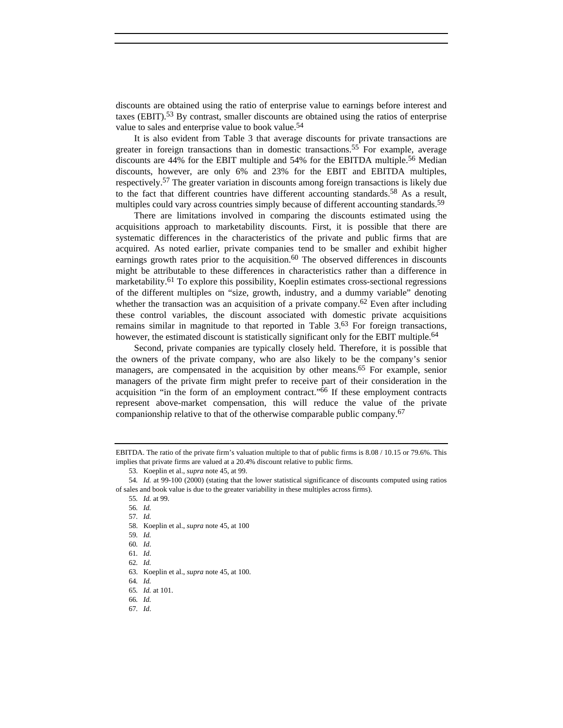discounts are obtained using the ratio of enterprise value to earnings before interest and taxes  $(EBIT)$ .<sup>53</sup> By contrast, smaller discounts are obtained using the ratios of enterprise value to sales and enterprise value to book value.<sup>54</sup>

It is also evident from Table 3 that average discounts for private transactions are greater in foreign transactions than in domestic transactions.55 For example, average discounts are 44% for the EBIT multiple and 54% for the EBITDA multiple.56 Median discounts, however, are only 6% and 23% for the EBIT and EBITDA multiples, respectively.57 The greater variation in discounts among foreign transactions is likely due to the fact that different countries have different accounting standards.<sup>58</sup> As a result, multiples could vary across countries simply because of different accounting standards.<sup>59</sup>

There are limitations involved in comparing the discounts estimated using the acquisitions approach to marketability discounts. First, it is possible that there are systematic differences in the characteristics of the private and public firms that are acquired. As noted earlier, private companies tend to be smaller and exhibit higher earnings growth rates prior to the acquisition.<sup>60</sup> The observed differences in discounts might be attributable to these differences in characteristics rather than a difference in marketability.<sup>61</sup> To explore this possibility, Koeplin estimates cross-sectional regressions of the different multiples on "size, growth, industry, and a dummy variable" denoting whether the transaction was an acquisition of a private company.<sup>62</sup> Even after including these control variables, the discount associated with domestic private acquisitions remains similar in magnitude to that reported in Table 3.<sup>63</sup> For foreign transactions, however, the estimated discount is statistically significant only for the EBIT multiple.<sup>64</sup>

Second, private companies are typically closely held. Therefore, it is possible that the owners of the private company, who are also likely to be the company's senior managers, are compensated in the acquisition by other means.<sup>65</sup> For example, senior managers of the private firm might prefer to receive part of their consideration in the acquisition "in the form of an employment contract."66 If these employment contracts represent above-market compensation, this will reduce the value of the private companionship relative to that of the otherwise comparable public company.67

EBITDA. The ratio of the private firm's valuation multiple to that of public firms is 8.08 / 10.15 or 79.6%. This implies that private firms are valued at a 20.4% discount relative to public firms.

<sup>53.</sup> Koeplin et al., *supra* note 45, at 99.

<sup>54</sup>*. Id.* at 99-100 (2000) (stating that the lower statistical significance of discounts computed using ratios of sales and book value is due to the greater variability in these multiples across firms).

<sup>55</sup>*. Id.* at 99.

<sup>56</sup>*. Id.*

<sup>57</sup>*. Id.*

<sup>58.</sup> Koeplin et al., *supra* note 45, at 100

<sup>59</sup>*. Id.*

<sup>60</sup>*. Id*.

<sup>61</sup>*. Id*. 62*. Id.*

<sup>63.</sup> Koeplin et al., *supra* note 45, at 100.

<sup>64</sup>*. Id.*

<sup>65</sup>*. Id.* at 101. 66*. Id.*

<sup>67</sup>*. Id*.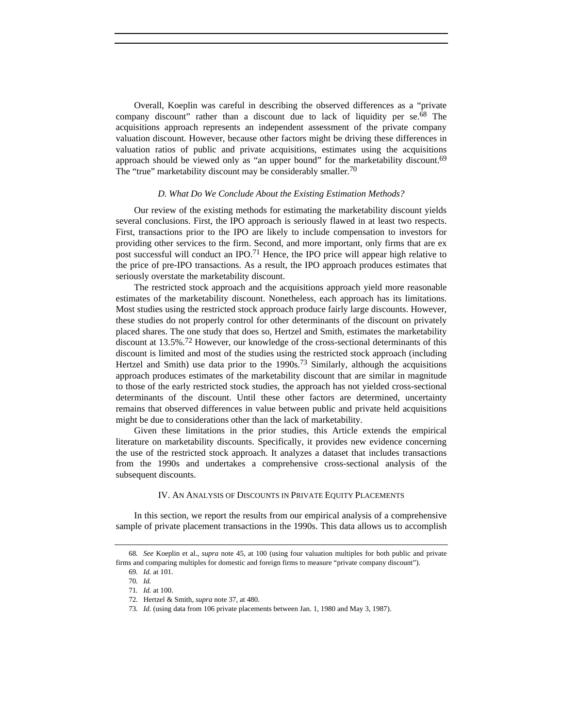Overall, Koeplin was careful in describing the observed differences as a "private company discount" rather than a discount due to lack of liquidity per se.<sup>68</sup> The acquisitions approach represents an independent assessment of the private company valuation discount. However, because other factors might be driving these differences in valuation ratios of public and private acquisitions, estimates using the acquisitions approach should be viewed only as "an upper bound" for the marketability discount.<sup>69</sup> The "true" marketability discount may be considerably smaller.<sup>70</sup>

#### *D. What Do We Conclude About the Existing Estimation Methods?*

Our review of the existing methods for estimating the marketability discount yields several conclusions. First, the IPO approach is seriously flawed in at least two respects. First, transactions prior to the IPO are likely to include compensation to investors for providing other services to the firm. Second, and more important, only firms that are ex post successful will conduct an IPO.<sup>71</sup> Hence, the IPO price will appear high relative to the price of pre-IPO transactions. As a result, the IPO approach produces estimates that seriously overstate the marketability discount.

The restricted stock approach and the acquisitions approach yield more reasonable estimates of the marketability discount. Nonetheless, each approach has its limitations. Most studies using the restricted stock approach produce fairly large discounts. However, these studies do not properly control for other determinants of the discount on privately placed shares. The one study that does so, Hertzel and Smith, estimates the marketability discount at 13.5%.72 However, our knowledge of the cross-sectional determinants of this discount is limited and most of the studies using the restricted stock approach (including Hertzel and Smith) use data prior to the  $1990s$ .<sup>73</sup> Similarly, although the acquisitions approach produces estimates of the marketability discount that are similar in magnitude to those of the early restricted stock studies, the approach has not yielded cross-sectional determinants of the discount. Until these other factors are determined, uncertainty remains that observed differences in value between public and private held acquisitions might be due to considerations other than the lack of marketability.

Given these limitations in the prior studies, this Article extends the empirical literature on marketability discounts. Specifically, it provides new evidence concerning the use of the restricted stock approach. It analyzes a dataset that includes transactions from the 1990s and undertakes a comprehensive cross-sectional analysis of the subsequent discounts.

## IV. AN ANALYSIS OF DISCOUNTS IN PRIVATE EQUITY PLACEMENTS

In this section, we report the results from our empirical analysis of a comprehensive sample of private placement transactions in the 1990s. This data allows us to accomplish

<sup>68</sup>*. See* Koeplin et al., *supra* note 45, at 100 (using four valuation multiples for both public and private firms and comparing multiples for domestic and foreign firms to measure "private company discount").

<sup>69</sup>*. Id.* at 101.

<sup>70</sup>*. Id.*

<sup>71</sup>*. Id.* at 100.

<sup>72.</sup> Hertzel & Smith, *supra* note 37, at 480.

<sup>73</sup>*. Id.* (using data from 106 private placements between Jan. 1, 1980 and May 3, 1987).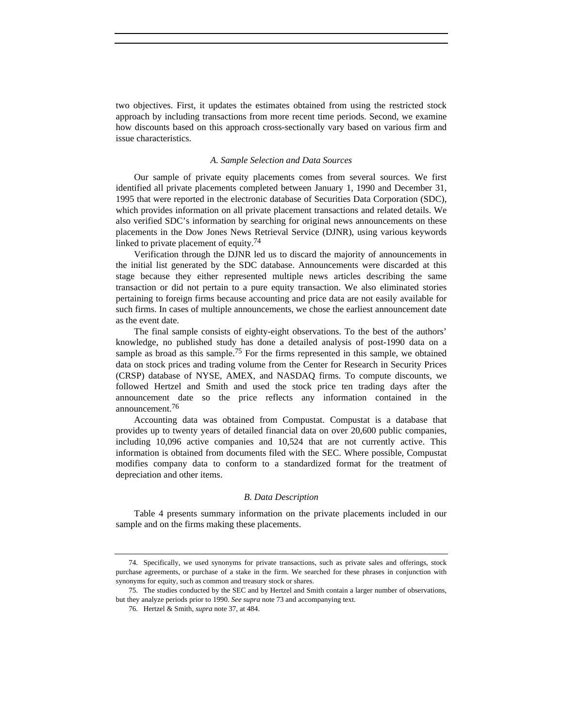two objectives. First, it updates the estimates obtained from using the restricted stock approach by including transactions from more recent time periods. Second, we examine how discounts based on this approach cross-sectionally vary based on various firm and issue characteristics.

## *A. Sample Selection and Data Sources*

Our sample of private equity placements comes from several sources. We first identified all private placements completed between January 1, 1990 and December 31, 1995 that were reported in the electronic database of Securities Data Corporation (SDC), which provides information on all private placement transactions and related details. We also verified SDC's information by searching for original news announcements on these placements in the Dow Jones News Retrieval Service (DJNR), using various keywords linked to private placement of equity.<sup>74</sup>

Verification through the DJNR led us to discard the majority of announcements in the initial list generated by the SDC database. Announcements were discarded at this stage because they either represented multiple news articles describing the same transaction or did not pertain to a pure equity transaction. We also eliminated stories pertaining to foreign firms because accounting and price data are not easily available for such firms. In cases of multiple announcements, we chose the earliest announcement date as the event date.

The final sample consists of eighty-eight observations. To the best of the authors' knowledge, no published study has done a detailed analysis of post-1990 data on a sample as broad as this sample.<sup>75</sup> For the firms represented in this sample, we obtained data on stock prices and trading volume from the Center for Research in Security Prices (CRSP) database of NYSE, AMEX, and NASDAQ firms. To compute discounts, we followed Hertzel and Smith and used the stock price ten trading days after the announcement date so the price reflects any information contained in the announcement.76

Accounting data was obtained from Compustat. Compustat is a database that provides up to twenty years of detailed financial data on over 20,600 public companies, including 10,096 active companies and 10,524 that are not currently active. This information is obtained from documents filed with the SEC. Where possible, Compustat modifies company data to conform to a standardized format for the treatment of depreciation and other items.

#### *B. Data Description*

Table 4 presents summary information on the private placements included in our sample and on the firms making these placements.

<sup>74.</sup> Specifically, we used synonyms for private transactions, such as private sales and offerings, stock purchase agreements, or purchase of a stake in the firm. We searched for these phrases in conjunction with synonyms for equity, such as common and treasury stock or shares.

<sup>75.</sup> The studies conducted by the SEC and by Hertzel and Smith contain a larger number of observations, but they analyze periods prior to 1990. *See supra* note 73 and accompanying text.

<sup>76.</sup> Hertzel & Smith, *supra* note 37, at 484.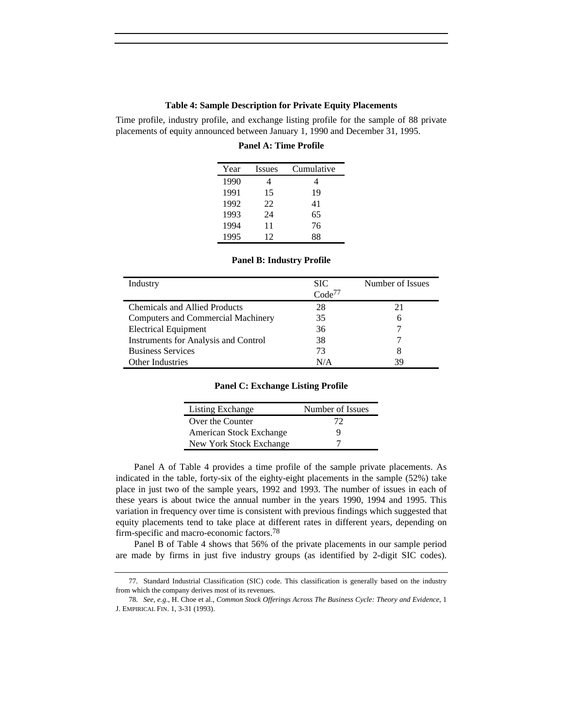## **Table 4: Sample Description for Private Equity Placements**

Time profile, industry profile, and exchange listing profile for the sample of 88 private placements of equity announced between January 1, 1990 and December 31, 1995.

#### **Panel A: Time Profile**

| Year | Issues | Cumulative |
|------|--------|------------|
| 1990 |        |            |
| 1991 | 15     | 19         |
| 1992 | 22     | 41         |
| 1993 | 24     | 65         |
| 1994 | 11     | 76         |
| 1995 | 12     | 88         |

| Industry                                    | <b>SIC</b>         | Number of Issues |
|---------------------------------------------|--------------------|------------------|
|                                             | Code <sup>77</sup> |                  |
| <b>Chemicals and Allied Products</b>        | 28                 | 21               |
| <b>Computers and Commercial Machinery</b>   | 35                 | 6                |
| <b>Electrical Equipment</b>                 | 36                 |                  |
| <b>Instruments for Analysis and Control</b> | 38                 |                  |
| <b>Business Services</b>                    | 73                 | 8                |
| <b>Other Industries</b>                     | N/A                | 39               |

#### **Panel B: Industry Profile**

### **Panel C: Exchange Listing Profile**

| Listing Exchange        | Number of Issues |
|-------------------------|------------------|
| Over the Counter        | 72               |
| American Stock Exchange | ч                |
| New York Stock Exchange |                  |

Panel A of Table 4 provides a time profile of the sample private placements. As indicated in the table, forty-six of the eighty-eight placements in the sample (52%) take place in just two of the sample years, 1992 and 1993. The number of issues in each of these years is about twice the annual number in the years 1990, 1994 and 1995. This variation in frequency over time is consistent with previous findings which suggested that equity placements tend to take place at different rates in different years, depending on firm-specific and macro-economic factors.78

Panel B of Table 4 shows that 56% of the private placements in our sample period are made by firms in just five industry groups (as identified by 2-digit SIC codes).

<sup>77.</sup> Standard Industrial Classification (SIC) code. This classification is generally based on the industry from which the company derives most of its revenues.

<sup>78.</sup> *See, e.g*., H. Choe et al., *Common Stock Offerings Across The Business Cycle: Theory and Evidence*, 1 J. EMPIRICAL FIN. 1, 3-31 (1993).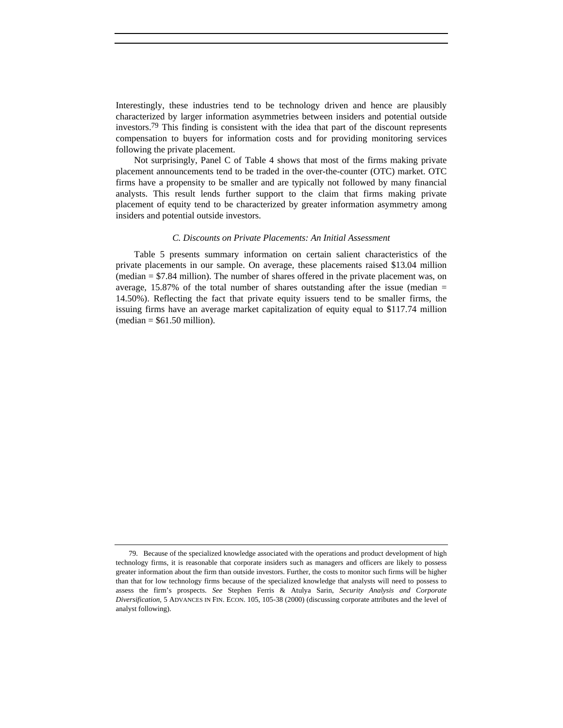Interestingly, these industries tend to be technology driven and hence are plausibly characterized by larger information asymmetries between insiders and potential outside investors.<sup>79</sup> This finding is consistent with the idea that part of the discount represents compensation to buyers for information costs and for providing monitoring services following the private placement.

Not surprisingly, Panel C of Table 4 shows that most of the firms making private placement announcements tend to be traded in the over-the-counter (OTC) market. OTC firms have a propensity to be smaller and are typically not followed by many financial analysts. This result lends further support to the claim that firms making private placement of equity tend to be characterized by greater information asymmetry among insiders and potential outside investors.

### *C. Discounts on Private Placements: An Initial Assessment*

Table 5 presents summary information on certain salient characteristics of the private placements in our sample. On average, these placements raised \$13.04 million (median = \$7.84 million). The number of shares offered in the private placement was, on average,  $15.87\%$  of the total number of shares outstanding after the issue (median = 14.50%). Reflecting the fact that private equity issuers tend to be smaller firms, the issuing firms have an average market capitalization of equity equal to \$117.74 million  $(median = $61.50 million).$ 

<sup>79.</sup> Because of the specialized knowledge associated with the operations and product development of high technology firms, it is reasonable that corporate insiders such as managers and officers are likely to possess greater information about the firm than outside investors. Further, the costs to monitor such firms will be higher than that for low technology firms because of the specialized knowledge that analysts will need to possess to assess the firm's prospects. *See* Stephen Ferris & Atulya Sarin, *Security Analysis and Corporate Diversification*, 5 ADVANCES IN FIN. ECON. 105, 105-38 (2000) (discussing corporate attributes and the level of analyst following).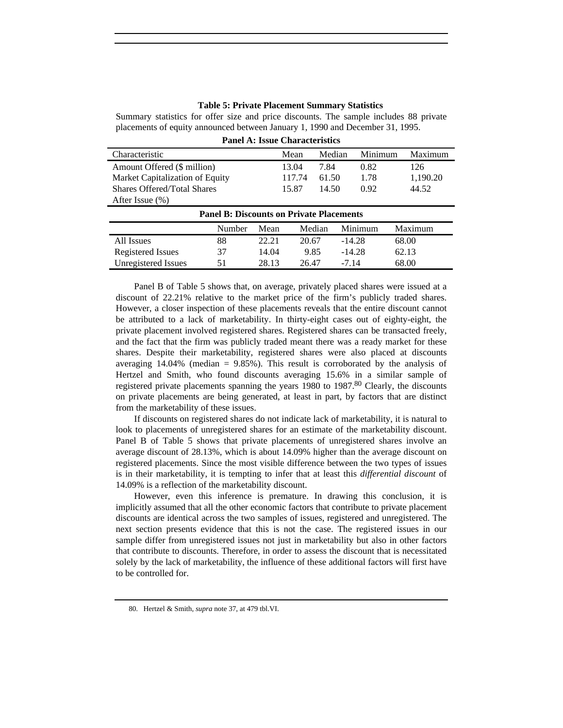## **Table 5: Private Placement Summary Statistics**

Summary statistics for offer size and price discounts. The sample includes 88 private placements of equity announced between January 1, 1990 and December 31, 1995.

| <b>Panel A: Issue Characteristics</b>           |        |       |        |        |          |          |
|-------------------------------------------------|--------|-------|--------|--------|----------|----------|
| Characteristic                                  |        |       | Mean   | Median | Minimum  | Maximum  |
| Amount Offered (\$ million)                     |        |       | 13.04  | 7.84   | 0.82     | 126      |
| Market Capitalization of Equity                 |        |       | 117.74 | 61.50  | 1.78     | 1,190.20 |
| <b>Shares Offered/Total Shares</b>              |        |       | 15.87  | 14.50  | 0.92     | 44.52    |
| After Issue (%)                                 |        |       |        |        |          |          |
| <b>Panel B: Discounts on Private Placements</b> |        |       |        |        |          |          |
|                                                 | Number | Mean  |        | Median | Minimum  | Maximum  |
| All Issues                                      | 88     | 22.21 | 20.67  |        | $-14.28$ | 68.00    |
| Registered Issues                               | 37     | 14.04 | 9.85   |        | $-14.28$ | 62.13    |

Unregistered Issues 51 28.13 26.47 -7.14 68.00

Panel B of Table 5 shows that, on average, privately placed shares were issued at a discount of 22.21% relative to the market price of the firm's publicly traded shares. However, a closer inspection of these placements reveals that the entire discount cannot be attributed to a lack of marketability. In thirty-eight cases out of eighty-eight, the private placement involved registered shares. Registered shares can be transacted freely, and the fact that the firm was publicly traded meant there was a ready market for these shares. Despite their marketability, registered shares were also placed at discounts averaging  $14.04\%$  (median = 9.85%). This result is corroborated by the analysis of Hertzel and Smith, who found discounts averaging 15.6% in a similar sample of registered private placements spanning the years 1980 to 1987.<sup>80</sup> Clearly, the discounts on private placements are being generated, at least in part, by factors that are distinct from the marketability of these issues.

If discounts on registered shares do not indicate lack of marketability, it is natural to look to placements of unregistered shares for an estimate of the marketability discount. Panel B of Table 5 shows that private placements of unregistered shares involve an average discount of 28.13%, which is about 14.09% higher than the average discount on registered placements. Since the most visible difference between the two types of issues is in their marketability, it is tempting to infer that at least this *differential discount* of 14.09% is a reflection of the marketability discount.

However, even this inference is premature. In drawing this conclusion, it is implicitly assumed that all the other economic factors that contribute to private placement discounts are identical across the two samples of issues, registered and unregistered. The next section presents evidence that this is not the case. The registered issues in our sample differ from unregistered issues not just in marketability but also in other factors that contribute to discounts. Therefore, in order to assess the discount that is necessitated solely by the lack of marketability, the influence of these additional factors will first have to be controlled for.

<sup>80.</sup> Hertzel & Smith, *supra* note 37, at 479 tbl.VI.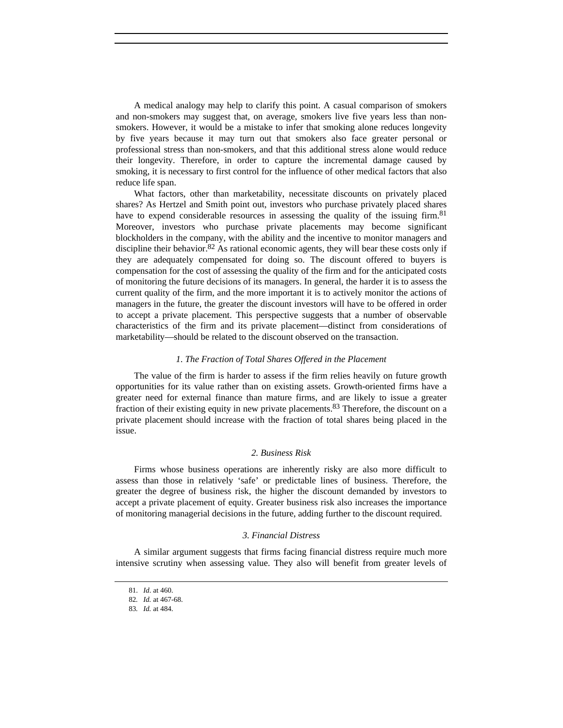A medical analogy may help to clarify this point. A casual comparison of smokers and non-smokers may suggest that, on average, smokers live five years less than nonsmokers. However, it would be a mistake to infer that smoking alone reduces longevity by five years because it may turn out that smokers also face greater personal or professional stress than non-smokers, and that this additional stress alone would reduce their longevity. Therefore, in order to capture the incremental damage caused by smoking, it is necessary to first control for the influence of other medical factors that also reduce life span.

What factors, other than marketability, necessitate discounts on privately placed shares? As Hertzel and Smith point out, investors who purchase privately placed shares have to expend considerable resources in assessing the quality of the issuing firm.<sup>81</sup> Moreover, investors who purchase private placements may become significant blockholders in the company, with the ability and the incentive to monitor managers and discipline their behavior.<sup>82</sup> As rational economic agents, they will bear these costs only if they are adequately compensated for doing so. The discount offered to buyers is compensation for the cost of assessing the quality of the firm and for the anticipated costs of monitoring the future decisions of its managers. In general, the harder it is to assess the current quality of the firm, and the more important it is to actively monitor the actions of managers in the future, the greater the discount investors will have to be offered in order to accept a private placement. This perspective suggests that a number of observable characteristics of the firm and its private placement—distinct from considerations of marketability—should be related to the discount observed on the transaction.

## *1. The Fraction of Total Shares Offered in the Placement*

The value of the firm is harder to assess if the firm relies heavily on future growth opportunities for its value rather than on existing assets. Growth-oriented firms have a greater need for external finance than mature firms, and are likely to issue a greater fraction of their existing equity in new private placements.83 Therefore, the discount on a private placement should increase with the fraction of total shares being placed in the issue.

#### *2. Business Risk*

Firms whose business operations are inherently risky are also more difficult to assess than those in relatively 'safe' or predictable lines of business. Therefore, the greater the degree of business risk, the higher the discount demanded by investors to accept a private placement of equity. Greater business risk also increases the importance of monitoring managerial decisions in the future, adding further to the discount required.

#### *3. Financial Distress*

A similar argument suggests that firms facing financial distress require much more intensive scrutiny when assessing value. They also will benefit from greater levels of

<sup>81.</sup> *Id*. at 460.

<sup>82</sup>*. Id.* at 467-68.

<sup>83</sup>*. Id.* at 484.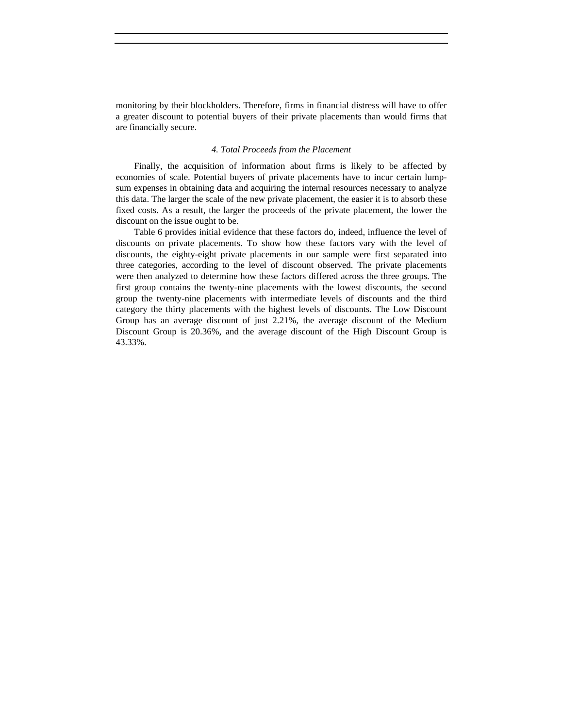monitoring by their blockholders. Therefore, firms in financial distress will have to offer a greater discount to potential buyers of their private placements than would firms that are financially secure.

#### *4. Total Proceeds from the Placement*

Finally, the acquisition of information about firms is likely to be affected by economies of scale. Potential buyers of private placements have to incur certain lumpsum expenses in obtaining data and acquiring the internal resources necessary to analyze this data. The larger the scale of the new private placement, the easier it is to absorb these fixed costs. As a result, the larger the proceeds of the private placement, the lower the discount on the issue ought to be.

Table 6 provides initial evidence that these factors do, indeed, influence the level of discounts on private placements. To show how these factors vary with the level of discounts, the eighty-eight private placements in our sample were first separated into three categories, according to the level of discount observed. The private placements were then analyzed to determine how these factors differed across the three groups. The first group contains the twenty-nine placements with the lowest discounts, the second group the twenty-nine placements with intermediate levels of discounts and the third category the thirty placements with the highest levels of discounts. The Low Discount Group has an average discount of just 2.21%, the average discount of the Medium Discount Group is 20.36%, and the average discount of the High Discount Group is 43.33%.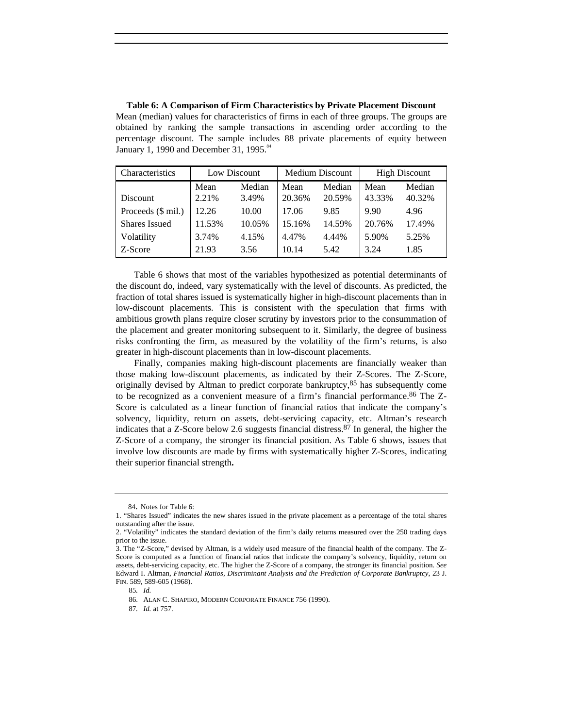| Characteristics      | Low Discount |        | <b>Medium Discount</b> |        | <b>High Discount</b> |        |
|----------------------|--------------|--------|------------------------|--------|----------------------|--------|
|                      | Mean         | Median | Mean                   | Median | Mean                 | Median |
| Discount             | 2.21%        | 3.49%  | 20.36%                 | 20.59% | 43.33%               | 40.32% |
| Proceeds (\$ mil.)   | 12.26        | 10.00  | 17.06                  | 9.85   | 9.90                 | 4.96   |
| <b>Shares Issued</b> | 11.53%       | 10.05% | 15.16%                 | 14.59% | 20.76%               | 17.49% |
| Volatility           | 3.74%        | 4.15%  | 4.47%                  | 4.44%  | 5.90%                | 5.25%  |
| Z-Score              | 21.93        | 3.56   | 10.14                  | 5.42   | 3.24                 | 1.85   |

**Table 6: A Comparison of Firm Characteristics by Private Placement Discount** Mean (median) values for characteristics of firms in each of three groups. The groups are obtained by ranking the sample transactions in ascending order according to the percentage discount. The sample includes 88 private placements of equity between January 1, 1990 and December 31, 1995.<sup>84</sup>

Table 6 shows that most of the variables hypothesized as potential determinants of the discount do, indeed, vary systematically with the level of discounts. As predicted, the fraction of total shares issued is systematically higher in high-discount placements than in low-discount placements. This is consistent with the speculation that firms with ambitious growth plans require closer scrutiny by investors prior to the consummation of the placement and greater monitoring subsequent to it. Similarly, the degree of business risks confronting the firm, as measured by the volatility of the firm's returns, is also greater in high-discount placements than in low-discount placements.

Finally, companies making high-discount placements are financially weaker than those making low-discount placements, as indicated by their Z-Scores. The Z-Score, originally devised by Altman to predict corporate bankruptcy, $85$  has subsequently come to be recognized as a convenient measure of a firm's financial performance.86 The Z-Score is calculated as a linear function of financial ratios that indicate the company's solvency, liquidity, return on assets, debt-servicing capacity, etc. Altman's research indicates that a Z-Score below 2.6 suggests financial distress.<sup>87</sup> In general, the higher the Z-Score of a company, the stronger its financial position. As Table 6 shows, issues that involve low discounts are made by firms with systematically higher Z-Scores, indicating their superior financial strength**.**

87*. Id.* at 757.

<sup>84.</sup> Notes for Table 6:

<sup>1. &</sup>quot;Shares Issued" indicates the new shares issued in the private placement as a percentage of the total shares outstanding after the issue.

<sup>2. &</sup>quot;Volatility" indicates the standard deviation of the firm's daily returns measured over the 250 trading days prior to the issue.

<sup>3.</sup> The "Z-Score," devised by Altman, is a widely used measure of the financial health of the company. The Z-Score is computed as a function of financial ratios that indicate the company's solvency, liquidity, return on assets, debt-servicing capacity, etc. The higher the Z-Score of a company, the stronger its financial position. *See* Edward I. Altman, *Financial Ratios, Discriminant Analysis and the Prediction of Corporate Bankruptcy*, 23 J. FIN. 589, 589-605 (1968).

<sup>85</sup>*. Id.*

<sup>86.</sup> ALAN C. SHAPIRO, MODERN CORPORATE FINANCE 756 (1990).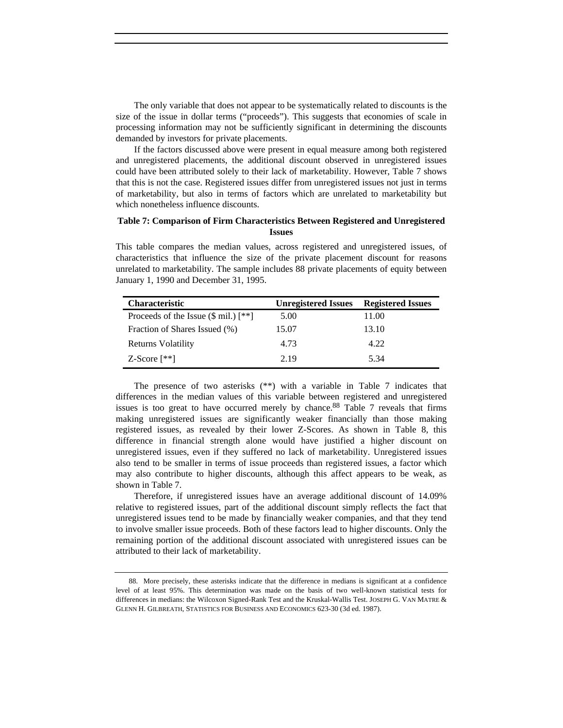The only variable that does not appear to be systematically related to discounts is the size of the issue in dollar terms ("proceeds"). This suggests that economies of scale in processing information may not be sufficiently significant in determining the discounts demanded by investors for private placements.

If the factors discussed above were present in equal measure among both registered and unregistered placements, the additional discount observed in unregistered issues could have been attributed solely to their lack of marketability. However, Table 7 shows that this is not the case. Registered issues differ from unregistered issues not just in terms of marketability, but also in terms of factors which are unrelated to marketability but which nonetheless influence discounts.

## **Table 7: Comparison of Firm Characteristics Between Registered and Unregistered Issues**

This table compares the median values, across registered and unregistered issues, of characteristics that influence the size of the private placement discount for reasons unrelated to marketability. The sample includes 88 private placements of equity between January 1, 1990 and December 31, 1995.

| <b>Characteristic</b>                                | <b>Unregistered Issues</b> | <b>Registered Issues</b> |
|------------------------------------------------------|----------------------------|--------------------------|
| Proceeds of the Issue $(\$ \text{mil.}) [\ast \ast]$ | 5.00                       | 11.00                    |
| Fraction of Shares Issued (%)                        | 15.07                      | 13.10                    |
| Returns Volatility                                   | 4.73                       | 4.22                     |
| $Z-Score$ [**]                                       | 2.19                       | 5.34                     |

The presence of two asterisks  $(**)$  with a variable in Table 7 indicates that differences in the median values of this variable between registered and unregistered issues is too great to have occurred merely by chance.<sup>88</sup> Table 7 reveals that firms making unregistered issues are significantly weaker financially than those making registered issues, as revealed by their lower Z-Scores. As shown in Table 8, this difference in financial strength alone would have justified a higher discount on unregistered issues, even if they suffered no lack of marketability. Unregistered issues also tend to be smaller in terms of issue proceeds than registered issues, a factor which may also contribute to higher discounts, although this affect appears to be weak, as shown in Table 7.

Therefore, if unregistered issues have an average additional discount of 14.09% relative to registered issues, part of the additional discount simply reflects the fact that unregistered issues tend to be made by financially weaker companies, and that they tend to involve smaller issue proceeds. Both of these factors lead to higher discounts. Only the remaining portion of the additional discount associated with unregistered issues can be attributed to their lack of marketability.

<sup>88.</sup> More precisely, these asterisks indicate that the difference in medians is significant at a confidence level of at least 95%. This determination was made on the basis of two well-known statistical tests for differences in medians: the Wilcoxon Signed-Rank Test and the Kruskal-Wallis Test. JOSEPH G. VAN MATRE & GLENN H. GILBREATH, STATISTICS FOR BUSINESS AND ECONOMICS 623-30 (3d ed. 1987).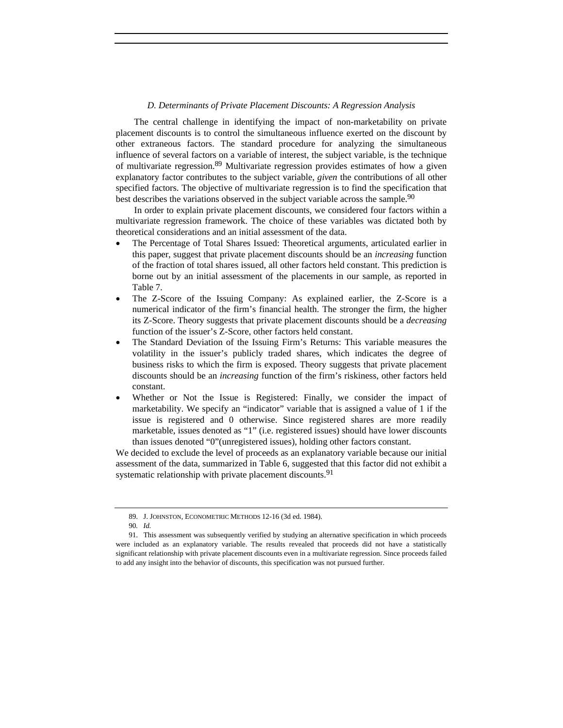#### *D. Determinants of Private Placement Discounts: A Regression Analysis*

The central challenge in identifying the impact of non-marketability on private placement discounts is to control the simultaneous influence exerted on the discount by other extraneous factors. The standard procedure for analyzing the simultaneous influence of several factors on a variable of interest, the subject variable, is the technique of multivariate regression.<sup>89</sup> Multivariate regression provides estimates of how a given explanatory factor contributes to the subject variable, *given* the contributions of all other specified factors. The objective of multivariate regression is to find the specification that best describes the variations observed in the subject variable across the sample.<sup>90</sup>

In order to explain private placement discounts, we considered four factors within a multivariate regression framework. The choice of these variables was dictated both by theoretical considerations and an initial assessment of the data.

- The Percentage of Total Shares Issued: Theoretical arguments, articulated earlier in this paper, suggest that private placement discounts should be an *increasing* function of the fraction of total shares issued, all other factors held constant. This prediction is borne out by an initial assessment of the placements in our sample, as reported in Table 7.
- The Z-Score of the Issuing Company: As explained earlier, the Z-Score is a numerical indicator of the firm's financial health. The stronger the firm, the higher its Z-Score. Theory suggests that private placement discounts should be a *decreasing* function of the issuer's Z-Score, other factors held constant.
- The Standard Deviation of the Issuing Firm's Returns: This variable measures the volatility in the issuer's publicly traded shares, which indicates the degree of business risks to which the firm is exposed. Theory suggests that private placement discounts should be an *increasing* function of the firm's riskiness, other factors held constant.
- Whether or Not the Issue is Registered: Finally, we consider the impact of marketability. We specify an "indicator" variable that is assigned a value of 1 if the issue is registered and 0 otherwise. Since registered shares are more readily marketable, issues denoted as "1" (i.e. registered issues) should have lower discounts than issues denoted "0"(unregistered issues), holding other factors constant.

We decided to exclude the level of proceeds as an explanatory variable because our initial assessment of the data, summarized in Table 6, suggested that this factor did not exhibit a systematic relationship with private placement discounts.<sup>91</sup>

<sup>89.</sup> J. JOHNSTON, ECONOMETRIC METHODS 12-16 (3d ed. 1984).

<sup>90</sup>*. Id.*

<sup>91.</sup> This assessment was subsequently verified by studying an alternative specification in which proceeds were included as an explanatory variable. The results revealed that proceeds did not have a statistically significant relationship with private placement discounts even in a multivariate regression. Since proceeds failed to add any insight into the behavior of discounts, this specification was not pursued further.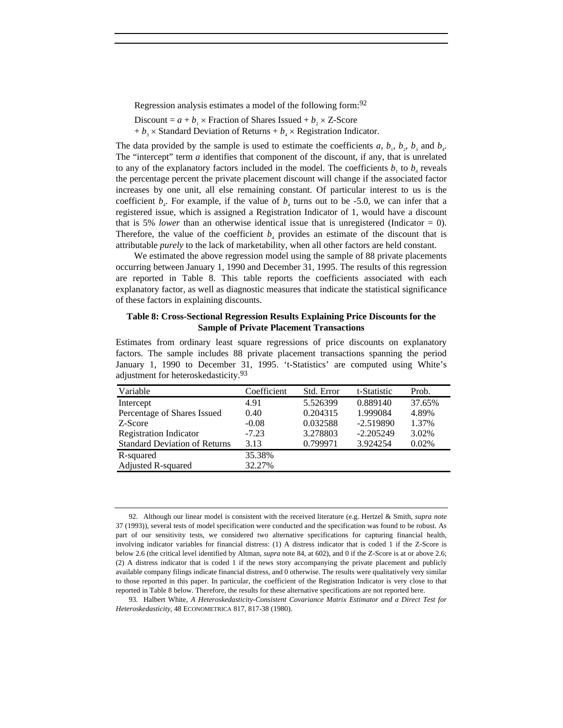Regression analysis estimates a model of the following form:92

- Discount =  $a + b_1 \times$  Fraction of Shares Issued +  $b_2 \times Z$ -Score
- $+ b_3 \times$  Standard Deviation of Returns  $+ b_4 \times$  Registration Indicator.

The data provided by the sample is used to estimate the coefficients *a*,  $b_1$ ,  $b_2$ ,  $b_3$  and  $b_4$ . The "intercept" term *a* identifies that component of the discount, if any, that is unrelated to any of the explanatory factors included in the model. The coefficients  $b_1$  to  $b_4$  reveals the percentage percent the private placement discount will change if the associated factor increases by one unit, all else remaining constant. Of particular interest to us is the coefficient  $b_4$ . For example, if the value of  $b_4$  turns out to be -5.0, we can infer that a registered issue, which is assigned a Registration Indicator of 1, would have a discount that is 5% *lower* than an otherwise identical issue that is unregistered (Indicator  $= 0$ ). Therefore, the value of the coefficient  $b<sub>4</sub>$  provides an estimate of the discount that is attributable *purely* to the lack of marketability, when all other factors are held constant.

We estimated the above regression model using the sample of 88 private placements occurring between January 1, 1990 and December 31, 1995. The results of this regression are reported in Table 8. This table reports the coefficients associated with each explanatory factor, as well as diagnostic measures that indicate the statistical significance of these factors in explaining discounts.

## **Table 8: Cross-Sectional Regression Results Explaining Price Discounts for the Sample of Private Placement Transactions**

| Estimates from ordinary least square regressions of price discounts on explanatory |
|------------------------------------------------------------------------------------|
| factors. The sample includes 88 private placement transactions spanning the period |
| January 1, 1990 to December 31, 1995. 't-Statistics' are computed using White's    |
| adjustment for heteroskedasticity. <sup>93</sup>                                   |

| Variable                             | Coefficient | Std. Error | t-Statistic | Prob.  |
|--------------------------------------|-------------|------------|-------------|--------|
| Intercept                            | 4.91        | 5.526399   | 0.889140    | 37.65% |
| Percentage of Shares Issued          | 0.40        | 0.204315   | 1.999084    | 4.89%  |
| Z-Score                              | $-0.08$     | 0.032588   | $-2.519890$ | 1.37%  |
| <b>Registration Indicator</b>        | $-7.23$     | 3.278803   | $-2.205249$ | 3.02%  |
| <b>Standard Deviation of Returns</b> | 3.13        | 0.799971   | 3.924254    | 0.02%  |
| R-squared                            | 35.38%      |            |             |        |
| Adjusted R-squared                   | 32.27%      |            |             |        |

<sup>92.</sup> Although our linear model is consistent with the received literature (e.g. Hertzel & Smith, *supra note* 37 (1993)), several tests of model specification were conducted and the specification was found to be robust. As part of our sensitivity tests, we considered two alternative specifications for capturing financial health, involving indicator variables for financial distress: (1) A distress indicator that is coded 1 if the Z-Score is below 2.6 (the critical level identified by Altman, *supra* note 84, at 602), and 0 if the Z-Score is at or above 2.6; (2) A distress indicator that is coded 1 if the news story accompanying the private placement and publicly available company filings indicate financial distress, and 0 otherwise. The results were qualitatively very similar to those reported in this paper. In particular, the coefficient of the Registration Indicator is very close to that reported in Table 8 below. Therefore, the results for these alternative specifications are not reported here.

<sup>93.</sup> Halbert White, *A Heteroskedasticity-Consistent Covariance Matrix Estimator and a Direct Test for Heteroskedasticity*, 48 ECONOMETRICA 817, 817-38 (1980).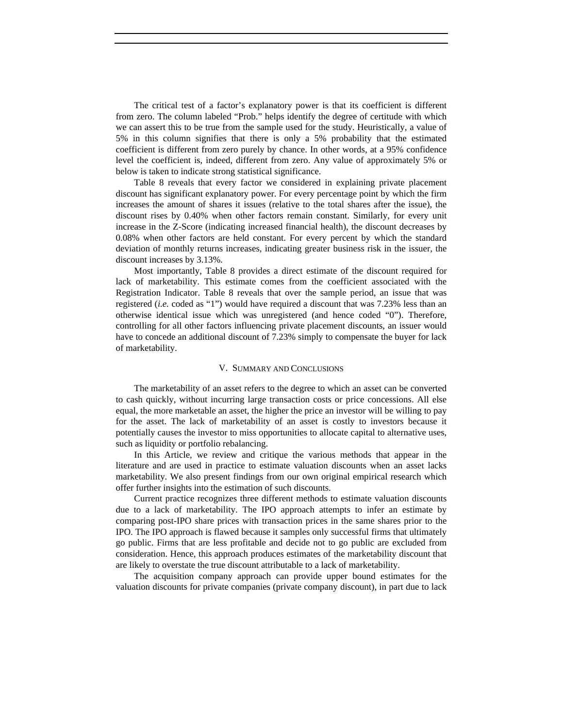The critical test of a factor's explanatory power is that its coefficient is different from zero. The column labeled "Prob." helps identify the degree of certitude with which we can assert this to be true from the sample used for the study. Heuristically, a value of 5% in this column signifies that there is only a 5% probability that the estimated coefficient is different from zero purely by chance. In other words, at a 95% confidence level the coefficient is, indeed, different from zero. Any value of approximately 5% or below is taken to indicate strong statistical significance.

Table 8 reveals that every factor we considered in explaining private placement discount has significant explanatory power. For every percentage point by which the firm increases the amount of shares it issues (relative to the total shares after the issue), the discount rises by 0.40% when other factors remain constant. Similarly, for every unit increase in the Z-Score (indicating increased financial health), the discount decreases by 0.08% when other factors are held constant. For every percent by which the standard deviation of monthly returns increases, indicating greater business risk in the issuer, the discount increases by 3.13%.

Most importantly, Table 8 provides a direct estimate of the discount required for lack of marketability. This estimate comes from the coefficient associated with the Registration Indicator. Table 8 reveals that over the sample period, an issue that was registered (*i.e.* coded as "1") would have required a discount that was 7.23% less than an otherwise identical issue which was unregistered (and hence coded "0"). Therefore, controlling for all other factors influencing private placement discounts, an issuer would have to concede an additional discount of 7.23% simply to compensate the buyer for lack of marketability.

#### V. SUMMARY AND CONCLUSIONS

The marketability of an asset refers to the degree to which an asset can be converted to cash quickly, without incurring large transaction costs or price concessions. All else equal, the more marketable an asset, the higher the price an investor will be willing to pay for the asset. The lack of marketability of an asset is costly to investors because it potentially causes the investor to miss opportunities to allocate capital to alternative uses, such as liquidity or portfolio rebalancing.

In this Article, we review and critique the various methods that appear in the literature and are used in practice to estimate valuation discounts when an asset lacks marketability. We also present findings from our own original empirical research which offer further insights into the estimation of such discounts.

Current practice recognizes three different methods to estimate valuation discounts due to a lack of marketability. The IPO approach attempts to infer an estimate by comparing post-IPO share prices with transaction prices in the same shares prior to the IPO. The IPO approach is flawed because it samples only successful firms that ultimately go public. Firms that are less profitable and decide not to go public are excluded from consideration. Hence, this approach produces estimates of the marketability discount that are likely to overstate the true discount attributable to a lack of marketability.

The acquisition company approach can provide upper bound estimates for the valuation discounts for private companies (private company discount), in part due to lack